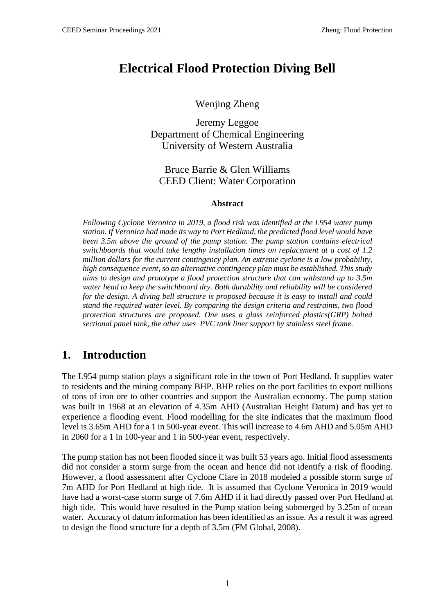# **Electrical Flood Protection Diving Bell**

Wenjing Zheng

Jeremy Leggoe Department of Chemical Engineering University of Western Australia

Bruce Barrie & Glen Williams CEED Client: Water Corporation

#### **Abstract**

*Following Cyclone Veronica in 2019, a flood risk was identified at the L954 water pump station. If Veronica had made its way to Port Hedland, the predicted flood level would have been 3.5m above the ground of the pump station. The pump station contains electrical switchboards that would take lengthy installation times on replacement at a cost of 1.2 million dollars for the current contingency plan. An extreme cyclone is a low probability, high consequence event, so an alternative contingency plan must be established. This study aims to design and prototype a flood protection structure that can withstand up to 3.5m water head to keep the switchboard dry. Both durability and reliability will be considered for the design. A diving bell structure is proposed because it is easy to install and could stand the required water level. By comparing the design criteria and restraints, two flood protection structures are proposed. One uses a glass reinforced plastics(GRP) bolted sectional panel tank, the other uses PVC tank liner support by stainless steel frame.*

### **1. Introduction**

The L954 pump station plays a significant role in the town of Port Hedland. It supplies water to residents and the mining company BHP. BHP relies on the port facilities to export millions of tons of iron ore to other countries and support the Australian economy. The pump station was built in 1968 at an elevation of 4.35m AHD (Australian Height Datum) and has yet to experience a flooding event. Flood modelling for the site indicates that the maximum flood level is 3.65m AHD for a 1 in 500-year event. This will increase to 4.6m AHD and 5.05m AHD in 2060 for a 1 in 100-year and 1 in 500-year event, respectively.

The pump station has not been flooded since it was built 53 years ago. Initial flood assessments did not consider a storm surge from the ocean and hence did not identify a risk of flooding. However, a flood assessment after Cyclone Clare in 2018 modeled a possible storm surge of 7m AHD for Port Hedland at high tide. It is assumed that Cyclone Veronica in 2019 would have had a worst-case storm surge of 7.6m AHD if it had directly passed over Port Hedland at high tide. This would have resulted in the Pump station being submerged by 3.25m of ocean water. Accuracy of datum information has been identified as an issue. As a result it was agreed to design the flood structure for a depth of 3.5m (FM Global, 2008).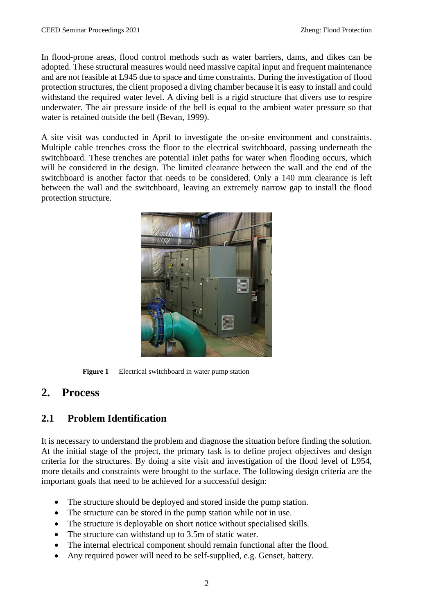In flood-prone areas, flood control methods such as water barriers, dams, and dikes can be adopted. These structural measures would need massive capital input and frequent maintenance and are not feasible at L945 due to space and time constraints. During the investigation of flood protection structures, the client proposed a diving chamber because it is easy to install and could withstand the required water level. A diving bell is a rigid structure that divers use to respire underwater. The air pressure inside of the bell is equal to the ambient water pressure so that water is retained outside the bell (Bevan, 1999).

A site visit was conducted in April to investigate the on-site environment and constraints. Multiple cable trenches cross the floor to the electrical switchboard, passing underneath the switchboard. These trenches are potential inlet paths for water when flooding occurs, which will be considered in the design. The limited clearance between the wall and the end of the switchboard is another factor that needs to be considered. Only a 140 mm clearance is left between the wall and the switchboard, leaving an extremely narrow gap to install the flood protection structure.



**Figure 1** Electrical switchboard in water pump station

## **2. Process**

### **2.1 Problem Identification**

It is necessary to understand the problem and diagnose the situation before finding the solution. At the initial stage of the project, the primary task is to define project objectives and design criteria for the structures. By doing a site visit and investigation of the flood level of L954, more details and constraints were brought to the surface. The following design criteria are the important goals that need to be achieved for a successful design:

- The structure should be deployed and stored inside the pump station.
- The structure can be stored in the pump station while not in use.
- The structure is deployable on short notice without specialised skills.
- The structure can withstand up to 3.5m of static water.
- The internal electrical component should remain functional after the flood.
- Any required power will need to be self-supplied, e.g. Genset, battery.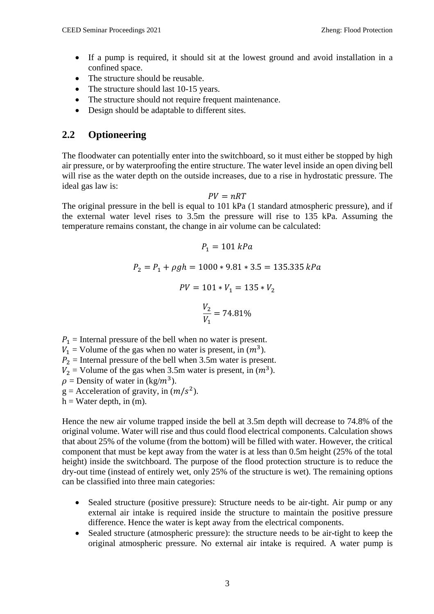- If a pump is required, it should sit at the lowest ground and avoid installation in a confined space.
- The structure should be reusable.
- The structure should last 10-15 years.
- The structure should not require frequent maintenance.
- Design should be adaptable to different sites.

### **2.2 Optioneering**

The floodwater can potentially enter into the switchboard, so it must either be stopped by high air pressure, or by waterproofing the entire structure. The water level inside an open diving bell will rise as the water depth on the outside increases, due to a rise in hydrostatic pressure. The ideal gas law is:

#### $PV = nRT$

The original pressure in the bell is equal to 101 kPa (1 standard atmospheric pressure), and if the external water level rises to 3.5m the pressure will rise to 135 kPa. Assuming the temperature remains constant, the change in air volume can be calculated:

$$
P_1 = 101 kPa
$$
  
\n
$$
P_2 = P_1 + \rho gh = 1000 * 9.81 * 3.5 = 135.335 kPa
$$
  
\n
$$
PV = 101 * V_1 = 135 * V_2
$$
  
\n
$$
\frac{V_2}{V_1} = 74.81\%
$$

 $P_1$  = Internal pressure of the bell when no water is present.

 $V_1$  = Volume of the gas when no water is present, in  $(m^3)$ .

 $P_2$  = Internal pressure of the bell when 3.5m water is present.

 $V_2$  = Volume of the gas when 3.5m water is present, in  $(m^3)$ .

 $\rho$  = Density of water in (kg/m<sup>3</sup>).

 $g =$  Acceleration of gravity, in  $(m/s^2)$ .

 $h = Water$  depth, in (m).

Hence the new air volume trapped inside the bell at 3.5m depth will decrease to 74.8% of the original volume. Water will rise and thus could flood electrical components. Calculation shows that about 25% of the volume (from the bottom) will be filled with water. However, the critical component that must be kept away from the water is at less than 0.5m height (25% of the total height) inside the switchboard. The purpose of the flood protection structure is to reduce the dry-out time (instead of entirely wet, only 25% of the structure is wet). The remaining options can be classified into three main categories:

- Sealed structure (positive pressure): Structure needs to be air-tight. Air pump or any external air intake is required inside the structure to maintain the positive pressure difference. Hence the water is kept away from the electrical components.
- Sealed structure (atmospheric pressure): the structure needs to be air-tight to keep the original atmospheric pressure. No external air intake is required. A water pump is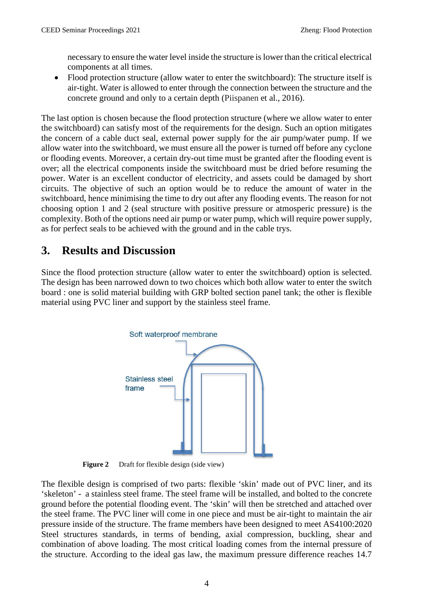necessary to ensure the water level inside the structure is lower than the critical electrical components at all times.

• Flood protection structure (allow water to enter the switchboard): The structure itself is air-tight. Water is allowed to enter through the connection between the structure and the concrete ground and only to a certain depth (Piispanen et al., 2016).

The last option is chosen because the flood protection structure (where we allow water to enter the switchboard) can satisfy most of the requirements for the design. Such an option mitigates the concern of a cable duct seal, external power supply for the air pump/water pump. If we allow water into the switchboard, we must ensure all the power is turned off before any cyclone or flooding events. Moreover, a certain dry-out time must be granted after the flooding event is over; all the electrical components inside the switchboard must be dried before resuming the power. Water is an excellent conductor of electricity, and assets could be damaged by short circuits. The objective of such an option would be to reduce the amount of water in the switchboard, hence minimising the time to dry out after any flooding events. The reason for not choosing option 1 and 2 (seal structure with positive pressure or atmosperic pressure) is the complexity. Both of the options need air pump or water pump, which will require power supply, as for perfect seals to be achieved with the ground and in the cable trys.

## **3. Results and Discussion**

Since the flood protection structure (allow water to enter the switchboard) option is selected. The design has been narrowed down to two choices which both allow water to enter the switch board : one is solid material building with GRP bolted section panel tank; the other is flexible material using PVC liner and support by the stainless steel frame.



**Figure 2** Draft for flexible design (side view)

The flexible design is comprised of two parts: flexible 'skin' made out of PVC liner, and its 'skeleton' - a stainless steel frame. The steel frame will be installed, and bolted to the concrete ground before the potential flooding event. The 'skin' will then be stretched and attached over the steel frame. The PVC liner will come in one piece and must be air-tight to maintain the air pressure inside of the structure. The frame members have been designed to meet AS4100:2020 Steel structures standards, in terms of bending, axial compression, buckling, shear and combination of above loading. The most critical loading comes from the internal pressure of the structure. According to the ideal gas law, the maximum pressure difference reaches 14.7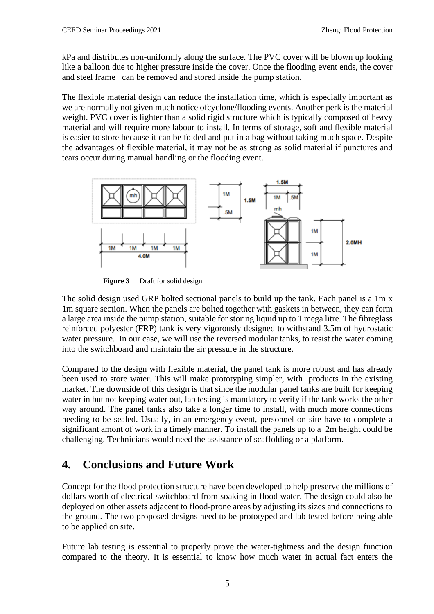kPa and distributes non-uniformly along the surface. The PVC cover will be blown up looking like a balloon due to higher pressure inside the cover. Once the flooding event ends, the cover and steel frame can be removed and stored inside the pump station.

The flexible material design can reduce the installation time, which is especially important as we are normally not given much notice ofcyclone/flooding events. Another perk is the material weight. PVC cover is lighter than a solid rigid structure which is typically composed of heavy material and will require more labour to install. In terms of storage, soft and flexible material is easier to store because it can be folded and put in a bag without taking much space. Despite the advantages of flexible material, it may not be as strong as solid material if punctures and tears occur during manual handling or the flooding event.



**Figure 3** Draft for solid design

The solid design used GRP bolted sectional panels to build up the tank. Each panel is a 1m x 1m square section. When the panels are bolted together with gaskets in between, they can form a large area inside the pump station, suitable for storing liquid up to 1 mega litre. The fibreglass reinforced polyester (FRP) tank is very vigorously designed to withstand 3.5m of hydrostatic water pressure. In our case, we will use the reversed modular tanks, to resist the water coming into the switchboard and maintain the air pressure in the structure.

Compared to the design with flexible material, the panel tank is more robust and has already been used to store water. This will make prototyping simpler, with products in the existing market. The downside of this design is that since the modular panel tanks are built for keeping water in but not keeping water out, lab testing is mandatory to verify if the tank works the other way around. The panel tanks also take a longer time to install, with much more connections needing to be sealed. Usually, in an emergency event, personnel on site have to complete a significant amont of work in a timely manner. To install the panels up to a 2m height could be challenging. Technicians would need the assistance of scaffolding or a platform.

## **4. Conclusions and Future Work**

Concept for the flood protection structure have been developed to help preserve the millions of dollars worth of electrical switchboard from soaking in flood water. The design could also be deployed on other assets adjacent to flood-prone areas by adjusting its sizes and connections to the ground. The two proposed designs need to be prototyped and lab tested before being able to be applied on site.

Future lab testing is essential to properly prove the water-tightness and the design function compared to the theory. It is essential to know how much water in actual fact enters the